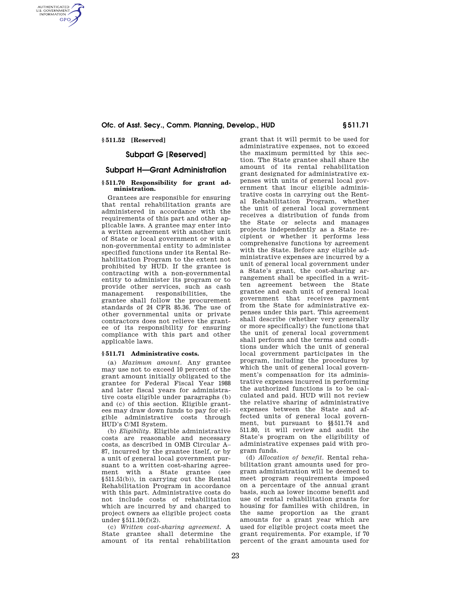## **Ofc. of Asst. Secy., Comm. Planning, Develop., HUD § 511.71**

**§ 511.52 [Reserved]** 

AUTHENTICATED **GPO** 

# **Subpart G [Reserved]**

# **Subpart H—Grant Administration**

#### **§ 511.70 Responsibility for grant administration.**

Grantees are responsible for ensuring that rental rehabilitation grants are administered in accordance with the requirements of this part and other applicable laws. A grantee may enter into a written agreement with another unit of State or local government or with a non-governmental entity to administer specified functions under its Rental Rehabilitation Program to the extent not prohibited by HUD. If the grantee is contracting with a non-governmental entity to administer its program or to provide other services, such as cash management responsibilities, the grantee shall follow the procurement standards of 24 CFR 85.36. The use of other governmental units or private contractors does not relieve the grantee of its responsibility for ensuring compliance with this part and other applicable laws.

## **§ 511.71 Administrative costs.**

(a) *Maximum amount.* Any grantee may use not to exceed 10 percent of the grant amount initially obligated to the grantee for Federal Fiscal Year 1988 and later fiscal years for administrative costs eligible under paragraphs (b) and (c) of this section. Eligible grantees may draw down funds to pay for eligible administrative costs through HUD's C/MI System.

(b) *Eligibility.* Eligible administrative costs are reasonable and necessary costs, as described in OMB Circular A– 87, incurred by the grantee itself, or by a unit of general local government pursuant to a written cost-sharing agreement with a State grantee (see §511.51(b)), in carrying out the Rental Rehabilitation Program in accordance with this part. Administrative costs do not include costs of rehabilitation which are incurred by and charged to project owners as eligible project costs under §511.10(f)(2).

(c) *Written cost-sharing agreement.* A State grantee shall determine the amount of its rental rehabilitation

grant that it will permit to be used for administrative expenses, not to exceed the maximum permitted by this section. The State grantee shall share the amount of its rental rehabilitation grant designated for administrative expenses with units of general local government that incur eligible administrative costs in carrying out the Rental Rehabilitation Program, whether the unit of general local government receives a distribution of funds from the State or selects and manages projects independently as a State recipient or whether it performs less comprehensive functions by agreement with the State. Before any eligible administrative expenses are incurred by a unit of general local government under a State's grant, the cost-sharing arrangement shall be specified in a written agreement between the State grantee and each unit of general local government that receives payment from the State for administrative expenses under this part. This agreement shall describe (whether very generally or more specifically) the functions that the unit of general local government shall perform and the terms and conditions under which the unit of general local government participates in the program, including the procedures by which the unit of general local government's compensation for its administrative expenses incurred in performing the authorized functions is to be calculated and paid. HUD will not review the relative sharing of administrative expenses between the State and affected units of general local government, but pursuant to §§511.74 and 511.80, it will review and audit the State's program on the eligibility of administrative expenses paid with program funds.

(d) *Allocation of benefit.* Rental rehabilitation grant amounts used for program administration will be deemed to meet program requirements imposed on a percentage of the annual grant basis, such as lower income benefit and use of rental rehabilitation grants for housing for families with children, in the same proportion as the grant amounts for a grant year which are used for eligible project costs meet the grant requirements. For example, if 70 percent of the grant amounts used for